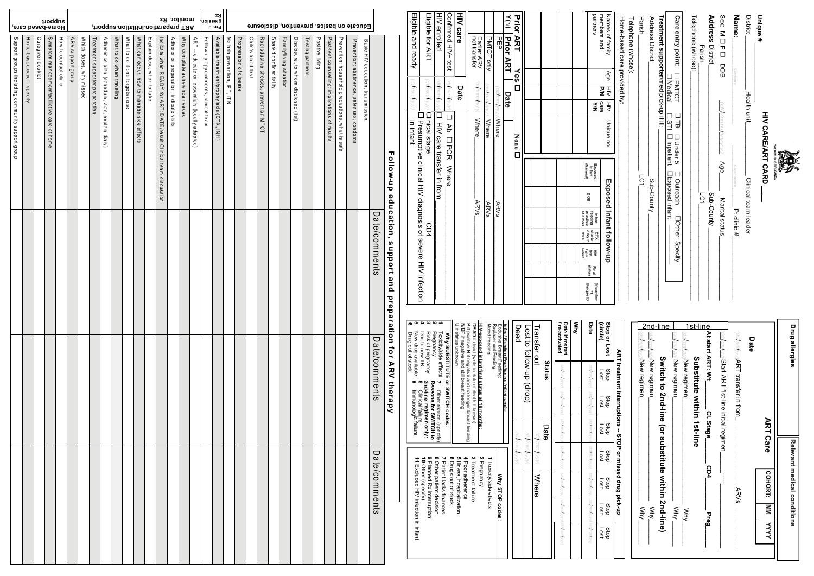|                                                  | anbbout<br>Home-pased care,  |                   |                                            |                       |                            |                            |                                 |                                                |                           |                                |                                            |                            |                                                                   |                                        | monitor, Rx<br>, thodque.noitsitini.noits ragenq TAA |                                                       | Bx<br>Gueseiou                        | - orq                                      |                              |                        |                    |                                       |                        |                         |                                      |                  |                 |                                                |                                                    | Educate on basics, prevention, disclosure  |                                   |               |                             |
|--------------------------------------------------|------------------------------|-------------------|--------------------------------------------|-----------------------|----------------------------|----------------------------|---------------------------------|------------------------------------------------|---------------------------|--------------------------------|--------------------------------------------|----------------------------|-------------------------------------------------------------------|----------------------------------------|------------------------------------------------------|-------------------------------------------------------|---------------------------------------|--------------------------------------------|------------------------------|------------------------|--------------------|---------------------------------------|------------------------|-------------------------|--------------------------------------|------------------|-----------------|------------------------------------------------|----------------------------------------------------|--------------------------------------------|-----------------------------------|---------------|-----------------------------|
| Support groups including community support group | Home-based care -<br>specify | Caregiver booklet | Symptom management/palliative care at home | How to contact clinic | <b>ARV</b><br>anou6 µoddns | Which doses,<br>why missed | Treatment supporter preparation | Adherence plan (schedule, aids, explain diary) | What to do when traveling | What to do if one forgets dose | What can occur, how to manage side effects | Explain dose, when to take | Indicate when READY for ART: DATE/result Clinical team discussion | Adherence preparation, indicate visits | Why complete adherence needed                        | <b>ART</b><br>educate on essentials (locally adapted) | Follow-up appointments, clinical team | Available treatment/prophylaxis (CTX, INH) | Malaria prevention, IPT, ITN | Progression of disease | Child's blood test | Reproductive choices, prevention MTCT | Shared confidentiality | Family/living situation | Disclosure, to whom disclosed (list) | Testing partners | Positive living | Post-test counselling: implications of results | Prevention: household precautions, what is<br>sate | Prevention: abstinence, safer sex, condoms | Basic HIV education, transmission |               | Follow-up                   |
|                                                  |                              |                   |                                            |                       |                            |                            |                                 |                                                |                           |                                |                                            |                            |                                                                   |                                        |                                                      |                                                       |                                       |                                            |                              |                        |                    |                                       |                        |                         |                                      |                  |                 |                                                |                                                    |                                            |                                   | Date/comments | education,<br>support and   |
|                                                  |                              |                   |                                            |                       |                            |                            |                                 |                                                |                           |                                |                                            |                            |                                                                   |                                        |                                                      |                                                       |                                       |                                            |                              |                        |                    |                                       |                        |                         |                                      |                  |                 |                                                |                                                    |                                            |                                   | Date/comments | Dreparation for ARS therapy |
|                                                  |                              |                   |                                            |                       |                            |                            |                                 |                                                |                           |                                |                                            |                            |                                                                   |                                        |                                                      |                                                       |                                       |                                            |                              |                        |                    |                                       |                        |                         |                                      |                  |                 |                                                |                                                    |                                            |                                   | Date/comments |                             |

|                                                                                                                                                                                                                                                                                                               | Drug allergies                                                                                                                      |                                                            |                                                                                                                              |                 |                         | Relevant medical conditions                          |                         |             |
|---------------------------------------------------------------------------------------------------------------------------------------------------------------------------------------------------------------------------------------------------------------------------------------------------------------|-------------------------------------------------------------------------------------------------------------------------------------|------------------------------------------------------------|------------------------------------------------------------------------------------------------------------------------------|-----------------|-------------------------|------------------------------------------------------|-------------------------|-------------|
| <b>DF UGANDA</b>                                                                                                                                                                                                                                                                                              |                                                                                                                                     |                                                            |                                                                                                                              |                 |                         | COHORT:                                              | $\overline{\mathsf{s}}$ | <b>AAA</b>  |
| Unique#<br><b>HIV CARE/ARENT CARD</b>                                                                                                                                                                                                                                                                         |                                                                                                                                     |                                                            |                                                                                                                              | <b>ART Care</b> |                         |                                                      |                         |             |
| <b>District</b><br>Health unit<br>Clinical team leader                                                                                                                                                                                                                                                        | Date                                                                                                                                |                                                            |                                                                                                                              |                 |                         |                                                      |                         |             |
| Name:<br>Pt clinic #                                                                                                                                                                                                                                                                                          |                                                                                                                                     | <b>University ART transfer in flom</b>                     |                                                                                                                              |                 |                         | <b>ARVs</b>                                          |                         |             |
| Sex: M □<br>$\blacksquare$<br>$\Box$<br><b>DOB</b><br>adim<br>Age <sup>1</sup><br>Marital status                                                                                                                                                                                                              | ndhhm                                                                                                                               | <b>Notart ART 1st-line initial regimen</b>                 |                                                                                                                              |                 |                         |                                                      |                         |             |
| Address<br>District<br>Sub-County                                                                                                                                                                                                                                                                             | At start ART: Wt                                                                                                                    |                                                            |                                                                                                                              |                 | CD4                     |                                                      |                         |             |
| Parish<br>$\bar{\Xi}$                                                                                                                                                                                                                                                                                         |                                                                                                                                     |                                                            | CI. Stage                                                                                                                    |                 |                         |                                                      | Preg                    |             |
| Telephone (whose):                                                                                                                                                                                                                                                                                            | 1st-line                                                                                                                            | <b>Substitute Sithin 1st-line</b>                          |                                                                                                                              |                 |                         |                                                      |                         |             |
|                                                                                                                                                                                                                                                                                                               |                                                                                                                                     | New regimen                                                |                                                                                                                              |                 |                         |                                                      | <b>Why.</b>             |             |
| <b>Care entry point:</b><br>$\Box$<br>$\overline{\phantom{0}}$<br><b>PMTCT</b><br>$\Box$<br>$\frac{31}{1}$<br>$\frac{1}{2}$<br>ப<br>Inpatient<br>Under 5<br><b>Exposed infant</b><br>Doutreach<br><b>Other:</b><br><b>Specify</b>                                                                             | <b>Citrin</b>                                                                                                                       | <b>Wew regimen</b>                                         |                                                                                                                              |                 |                         |                                                      | $\overline{\text{M}}$   |             |
| Treatment supporter/med pick-up if ill:<br><u>Medical</u>                                                                                                                                                                                                                                                     | 2nd-line                                                                                                                            | Switch to 2nd-line (or substitute within 2nd-line)         |                                                                                                                              |                 |                         |                                                      |                         |             |
| Address District<br>Sub-County                                                                                                                                                                                                                                                                                | Anmahoo                                                                                                                             | $\omega$ Mew regimen                                       |                                                                                                                              |                 |                         |                                                      | Xux                     |             |
| Parish.<br>LC1                                                                                                                                                                                                                                                                                                |                                                                                                                                     | <u>u/mm/vyv</u> /New regimen                               |                                                                                                                              |                 |                         |                                                      | ≷<br>∕k                 |             |
| Telephone (whose):                                                                                                                                                                                                                                                                                            |                                                                                                                                     |                                                            |                                                                                                                              |                 |                         |                                                      |                         |             |
| Home-based care provided by:                                                                                                                                                                                                                                                                                  |                                                                                                                                     | ART treatment interruptions -- STOP or missed drug pick-up |                                                                                                                              |                 |                         |                                                      |                         |             |
| members and<br>Names of family<br>Age<br>$\stackrel{\pm}{\leq}$<br>ΣĀ<br>$\equiv$<br>Unique no.<br>Exposed infant follow-up                                                                                                                                                                                   | Stop or Lost<br>(circle)                                                                                                            | dop<br>130 <sub>1</sub>                                    | dop<br>130 <sub>1</sub>                                                                                                      | dop<br>130      | dop<br>130 <sub>1</sub> | Stop<br>130                                          | dop<br>130              | dop<br>130  |
| partners<br><b>NN</b><br>Exposed<br>infant<br>(Name/#)<br><b>DOB</b><br>$\begin{array}{c}\n\text{Infall} \\ \text{feeding} \\ \text{practive} \\ \text{at 3 mo}\n\end{array}$<br>CTX<br>starte<br>dby 2<br>mos<br>HIN<br>Typel<br>Result<br>Final<br>status<br><b>Unique ID</b><br>(if confirm<br>(if confirm | Date                                                                                                                                | ddmmfyyy                                                   | (Whindywy                                                                                                                    | (calmmlyyy      | (ed/mm/yyy              | (admmlyyy                                            | (adminityy)             | admini/yyyy |
|                                                                                                                                                                                                                                                                                                               | KyM                                                                                                                                 |                                                            |                                                                                                                              |                 |                         |                                                      |                         |             |
|                                                                                                                                                                                                                                                                                                               | Date if restart<br>/re-activated                                                                                                    | dammhyyy                                                   | (Wymmybb)                                                                                                                    | (AMuufpp)       | (admmyyyy               | (ddmm/yyyy                                           | (ddhnnfyy)              | damhyyy     |
|                                                                                                                                                                                                                                                                                                               |                                                                                                                                     | Status                                                     |                                                                                                                              | Date            |                         |                                                      |                         |             |
|                                                                                                                                                                                                                                                                                                               | Transfer out                                                                                                                        |                                                            |                                                                                                                              | (ЛЛЛ/Лищрр)     |                         | <b>Where</b>                                         |                         |             |
|                                                                                                                                                                                                                                                                                                               | Lost to follow-up                                                                                                                   | (doup)                                                     |                                                                                                                              | (KNNMMWpp)      |                         |                                                      |                         |             |
| <b>Prior ART</b><br>Yes<br><b>None</b><br>$\Box$                                                                                                                                                                                                                                                              | Dead                                                                                                                                |                                                            |                                                                                                                              | Www.pp.         |                         |                                                      |                         |             |
| $\lesssim$<br>Prior<br><b>ART</b><br>Date                                                                                                                                                                                                                                                                     |                                                                                                                                     | Infant Feeding Practice on infant cards:                   |                                                                                                                              |                 |                         |                                                      |                         |             |
| 핆<br>(dd/mm/yyyy <b>/Where</b><br><b>ARVs</b>                                                                                                                                                                                                                                                                 | Replacement Feeding;<br>Exclusive Breast Feeding;                                                                                   |                                                            |                                                                                                                              |                 |                         | <b>Why STOP codes:</b>                               |                         |             |
| <b>PMTCT only</b><br>Wywhendy y<br><b>Where</b><br><b>ARVs</b>                                                                                                                                                                                                                                                | Mixed Feeding                                                                                                                       |                                                            |                                                                                                                              |                 | ∸                       | Toxicity/side effects                                |                         |             |
| Earlier ARV<br>not transfer<br>(AAA/uuu/pp)<br><b>Where</b><br><b>ARVs</b>                                                                                                                                                                                                                                    | DEAD if dead (write in date of death if known)<br>HIV-exposed infant final status at 18 months:                                     |                                                            |                                                                                                                              |                 | 2 Pregnancy             | 3 Treatment failure                                  |                         |             |
| <b>AIH</b><br>care<br>Date                                                                                                                                                                                                                                                                                    | <b>U</b> if status unknown<br>P if positive N if negative and no longer breast feeding<br>N/BF if negative and still breast feeding |                                                            |                                                                                                                              |                 | თ,                      | 4 Poor adherence<br>Illness, hospitalization         |                         |             |
| Confirmed HIV+ test<br>Mywwypp,<br>ப<br>ΑÞ<br>$\Box$<br>PCR<br><b>Where</b>                                                                                                                                                                                                                                   |                                                                                                                                     | <b>Why SUBSTITUTE or SMITCH codes:</b>                     |                                                                                                                              |                 | თ                       | Drugs out of stock                                   |                         |             |
| <b>HIV</b> enrolled<br>Whambb<br>$\Box$<br>HIV care transfer in from                                                                                                                                                                                                                                          | Toxicity/side effects                                                                                                               | ⊣                                                          | Other reason (specify)                                                                                                       |                 |                         | 8 Other patient decision<br>7 Patient lacks finances |                         |             |
| Eligible for ART<br>dammyyyy<br>Clinical stage<br>CD4                                                                                                                                                                                                                                                         | Risk of pregnancy<br>Pregnancy                                                                                                      |                                                            | Reasons for SWITCH to                                                                                                        |                 |                         | 9 Planned Rx interruption<br>10 Other (specify)      |                         |             |
| Eligible and ready<br>(ddfmm/wyy<br>Presumptive clinical HIV diagnosis of severe HIV infection<br>in infant                                                                                                                                                                                                   | <b>40459</b><br>New drug available<br>Due to new TB<br>Drug out of stock                                                            |                                                            | 2nd-line regimen only:<br>8     Clinical failure<br>9     Immunolog <sup>ic failure</sup><br>Immunolog <sup>ic failure</sup> |                 |                         | 11 mxcluded HV infection in intent                   |                         |             |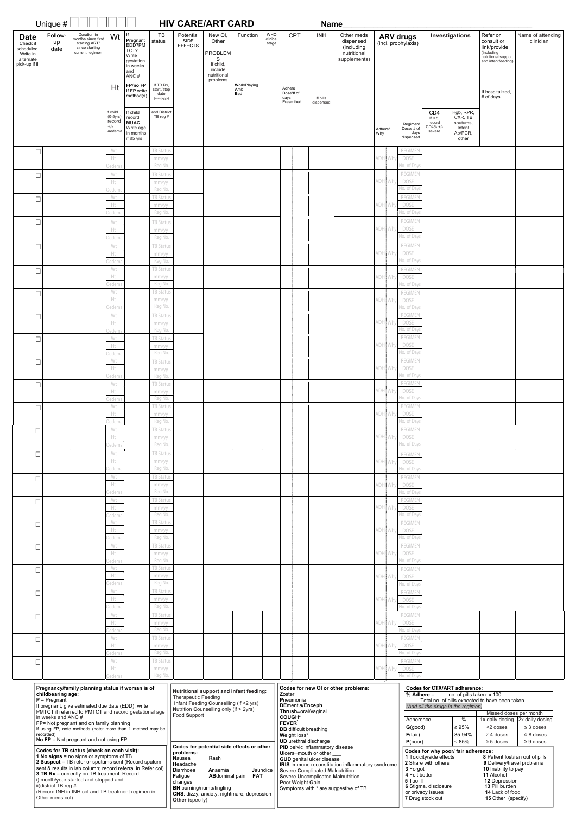|                                                                                  | Unique $\#$                                                            |                                                                                                                                                                                                                                                                                                                                                           |                                                    |                                                                             |                                               | <b>HIV CARE/ART CARD</b>                                                                                                                                                                                                   |                                                                                            |                                   |                                 |                                                                                                                                                                                                                          | <b>Name</b> |                                                                                                 |                |     |                                                   |                                                                                                                 |                                                                                                                                         |                                                                                                                                                                                                  |                                                                |
|----------------------------------------------------------------------------------|------------------------------------------------------------------------|-----------------------------------------------------------------------------------------------------------------------------------------------------------------------------------------------------------------------------------------------------------------------------------------------------------------------------------------------------------|----------------------------------------------------|-----------------------------------------------------------------------------|-----------------------------------------------|----------------------------------------------------------------------------------------------------------------------------------------------------------------------------------------------------------------------------|--------------------------------------------------------------------------------------------|-----------------------------------|---------------------------------|--------------------------------------------------------------------------------------------------------------------------------------------------------------------------------------------------------------------------|-------------|-------------------------------------------------------------------------------------------------|----------------|-----|---------------------------------------------------|-----------------------------------------------------------------------------------------------------------------|-----------------------------------------------------------------------------------------------------------------------------------------|--------------------------------------------------------------------------------------------------------------------------------------------------------------------------------------------------|----------------------------------------------------------------|
| <b>Date</b><br>Check if<br>scheduled.<br>Write in<br>alternate<br>pick-up if ill | Follow-<br>up<br>date                                                  | Duration in<br>months since first<br>starting ART/<br>since starting<br>current regimen                                                                                                                                                                                                                                                                   | Wt                                                 | Pregnant<br>EDD?PM<br>TCT?<br>Write<br>gestation<br>in weeks<br>and<br>ANC# | TB<br>status                                  | Potential<br>SIDE<br><b>EFFECTS</b>                                                                                                                                                                                        | New OI,<br>Other<br><b>PROBLEM</b><br>S<br>If child,<br>include<br>nutritional<br>problems | Function                          | <b>WHO</b><br>clinical<br>stage | <b>CPT</b>                                                                                                                                                                                                               | <b>INH</b>  | Other meds<br>dispensed<br>(including<br>nutritional<br>supplements)                            |                |     | <b>ARV drugs</b><br>(incl. prophylaxis)           |                                                                                                                 | Investigations                                                                                                                          | Refer or<br>consult or<br>link/provide<br>(including<br>nutritional support<br>and infantfeeding)                                                                                                | Name of attending<br>clinician                                 |
|                                                                                  |                                                                        |                                                                                                                                                                                                                                                                                                                                                           | Ht                                                 | FP/no FP<br>If FP write<br>method(s)                                        | If TB Rx,<br>start /stop<br>date<br>(mm/yyyy) |                                                                                                                                                                                                                            |                                                                                            | Work/Playing<br>Amb<br><b>Bed</b> |                                 | Adhere<br>Dose/# of<br>days<br>Prescribed                                                                                                                                                                                | # pills     |                                                                                                 |                |     |                                                   |                                                                                                                 |                                                                                                                                         | If hospitalized,<br># of days                                                                                                                                                                    |                                                                |
|                                                                                  |                                                                        |                                                                                                                                                                                                                                                                                                                                                           | f child<br>$(0-5yrs)$<br>record<br>$+/-$<br>oedema | If child<br>record<br><b>MUAC</b><br>Write age<br>in months<br>if ≤5 yrs    | and District<br>TB reg #                      |                                                                                                                                                                                                                            |                                                                                            |                                   |                                 |                                                                                                                                                                                                                          | dispensed   |                                                                                                 | Adhere/<br>Why |     | Regimen<br>Dose/# of<br>days<br>dispensed         | CD <sub>4</sub><br>If $<$ 5.<br>record<br>CD4% +/-<br>severe                                                    | Hgb, RPR,<br>CXR, TB<br>sputums,<br>Infant<br>Ab/PCR,<br>other                                                                          |                                                                                                                                                                                                  |                                                                |
| $\Box$                                                                           |                                                                        |                                                                                                                                                                                                                                                                                                                                                           | Wt<br>Ht                                           |                                                                             | TB Status<br>mm/yy                            |                                                                                                                                                                                                                            |                                                                                            |                                   |                                 |                                                                                                                                                                                                                          |             |                                                                                                 | ADHI           | Whv | <b>REGIMEN</b><br><b>DOSE</b>                     |                                                                                                                 |                                                                                                                                         |                                                                                                                                                                                                  |                                                                |
| $\Box$                                                                           |                                                                        |                                                                                                                                                                                                                                                                                                                                                           | edema<br>Wt<br>Ht                                  |                                                                             | Reg No.<br>TB Status<br>mm/yy                 |                                                                                                                                                                                                                            |                                                                                            |                                   |                                 |                                                                                                                                                                                                                          |             |                                                                                                 | ADH i          | Why | lo. of Day<br><b>REGIMEN</b><br><b>DOSE</b>       |                                                                                                                 |                                                                                                                                         |                                                                                                                                                                                                  |                                                                |
| $\Box$                                                                           |                                                                        |                                                                                                                                                                                                                                                                                                                                                           | edema<br>Wt                                        |                                                                             | Reg No.<br><b>TB Status</b>                   |                                                                                                                                                                                                                            |                                                                                            |                                   |                                 |                                                                                                                                                                                                                          |             |                                                                                                 |                |     | lo. of Day<br><b>REGIMEN</b>                      |                                                                                                                 |                                                                                                                                         |                                                                                                                                                                                                  |                                                                |
|                                                                                  |                                                                        |                                                                                                                                                                                                                                                                                                                                                           | Ht<br>edema                                        |                                                                             | mm/yy<br>Reg No.                              |                                                                                                                                                                                                                            |                                                                                            |                                   |                                 |                                                                                                                                                                                                                          |             |                                                                                                 | ADH Why        |     | <b>DOSE</b><br>lo. of Day<br><b>REGIMEN</b>       |                                                                                                                 |                                                                                                                                         |                                                                                                                                                                                                  |                                                                |
| $\Box$                                                                           |                                                                        |                                                                                                                                                                                                                                                                                                                                                           | Wt<br>Ht<br>edema                                  |                                                                             | <b>TB Status</b><br>mm/yy<br>Reg No.          |                                                                                                                                                                                                                            |                                                                                            |                                   |                                 |                                                                                                                                                                                                                          |             |                                                                                                 | ADH            | Why | <b>DOSE</b><br>lo. of Day                         |                                                                                                                 |                                                                                                                                         |                                                                                                                                                                                                  |                                                                |
| $\Box$                                                                           |                                                                        |                                                                                                                                                                                                                                                                                                                                                           | Wt<br>Ht                                           |                                                                             | <b>TB Status</b><br>mm/yy                     |                                                                                                                                                                                                                            |                                                                                            |                                   |                                 |                                                                                                                                                                                                                          |             |                                                                                                 | <b>ADH</b> Why |     | <b>REGIMEN</b><br><b>DOSE</b>                     |                                                                                                                 |                                                                                                                                         |                                                                                                                                                                                                  |                                                                |
| $\Box$                                                                           |                                                                        |                                                                                                                                                                                                                                                                                                                                                           | edema<br>Wt<br>Ht                                  |                                                                             | Reg No.<br><b>TB Status</b><br>mm/yy          |                                                                                                                                                                                                                            |                                                                                            |                                   |                                 |                                                                                                                                                                                                                          |             |                                                                                                 | ADH Why        |     | lo. of Day<br><b>REGIMEN</b><br>DOSE              |                                                                                                                 |                                                                                                                                         |                                                                                                                                                                                                  |                                                                |
| $\Box$                                                                           |                                                                        |                                                                                                                                                                                                                                                                                                                                                           | edema<br>Wt                                        |                                                                             | Reg No.<br>TB Status                          |                                                                                                                                                                                                                            |                                                                                            |                                   |                                 |                                                                                                                                                                                                                          |             |                                                                                                 |                |     | lo. of Day<br><b>REGIMEN</b>                      |                                                                                                                 |                                                                                                                                         |                                                                                                                                                                                                  |                                                                |
| $\Box$                                                                           |                                                                        |                                                                                                                                                                                                                                                                                                                                                           | Ht<br>edema<br>Wt                                  |                                                                             | mm/yy<br>Reg No.<br><b>TB Status</b>          |                                                                                                                                                                                                                            |                                                                                            |                                   |                                 |                                                                                                                                                                                                                          |             |                                                                                                 | ADH Why        |     | <b>DOSE</b><br>lo. of Day<br><b>REGIMEN</b>       |                                                                                                                 |                                                                                                                                         |                                                                                                                                                                                                  |                                                                |
|                                                                                  |                                                                        |                                                                                                                                                                                                                                                                                                                                                           | Ht<br>edema                                        |                                                                             | mm/yy<br>Reg No.                              |                                                                                                                                                                                                                            |                                                                                            |                                   |                                 |                                                                                                                                                                                                                          |             |                                                                                                 |                |     | ADH Why DOSE<br>No. of Day                        |                                                                                                                 |                                                                                                                                         |                                                                                                                                                                                                  |                                                                |
| $\Box$                                                                           |                                                                        |                                                                                                                                                                                                                                                                                                                                                           | Wt<br>Ht<br>edema                                  |                                                                             | <b>TB Status</b><br>mm/yy<br>Reg No.          |                                                                                                                                                                                                                            |                                                                                            |                                   |                                 |                                                                                                                                                                                                                          |             |                                                                                                 | ADH Why        |     | <b>REGIMEN</b><br>DOSE<br>No. of Days             |                                                                                                                 |                                                                                                                                         |                                                                                                                                                                                                  |                                                                |
| $\Box$                                                                           |                                                                        |                                                                                                                                                                                                                                                                                                                                                           | Wt<br>Ht                                           |                                                                             | <b>TB Status</b><br>mm/yy                     |                                                                                                                                                                                                                            |                                                                                            |                                   |                                 |                                                                                                                                                                                                                          |             |                                                                                                 | ADH Why        |     | REGIMEN<br>DOSE<br>No. of Day                     |                                                                                                                 |                                                                                                                                         |                                                                                                                                                                                                  |                                                                |
| $\Box$                                                                           |                                                                        |                                                                                                                                                                                                                                                                                                                                                           | edema<br>Wt<br>Ht                                  |                                                                             | Reg No.<br><b>TB Status</b><br>mm/yy          |                                                                                                                                                                                                                            |                                                                                            |                                   |                                 |                                                                                                                                                                                                                          |             |                                                                                                 | ADH Why        |     | REGIMEN<br>DOSE                                   |                                                                                                                 |                                                                                                                                         |                                                                                                                                                                                                  |                                                                |
| $\Box$                                                                           |                                                                        |                                                                                                                                                                                                                                                                                                                                                           | edema<br>Wt<br>Ht                                  |                                                                             | Reg No.<br><b>TB Status</b><br>mm/yy          |                                                                                                                                                                                                                            |                                                                                            |                                   |                                 |                                                                                                                                                                                                                          |             |                                                                                                 | ADH Why        |     | No. of Day<br>REGIMEN<br>DOSE                     |                                                                                                                 |                                                                                                                                         |                                                                                                                                                                                                  |                                                                |
| $\Box$                                                                           |                                                                        |                                                                                                                                                                                                                                                                                                                                                           | edema<br>Wt                                        |                                                                             | Reg No.<br><b>TB Status</b>                   |                                                                                                                                                                                                                            |                                                                                            |                                   |                                 |                                                                                                                                                                                                                          |             |                                                                                                 |                |     | Vo. of Day<br>REGIMEN                             |                                                                                                                 |                                                                                                                                         |                                                                                                                                                                                                  |                                                                |
| $\Box$                                                                           |                                                                        |                                                                                                                                                                                                                                                                                                                                                           | Ht<br>edema<br>Wt                                  |                                                                             | mm/yy<br>Reg No.<br><b>TB Status</b>          |                                                                                                                                                                                                                            |                                                                                            |                                   |                                 |                                                                                                                                                                                                                          |             |                                                                                                 | ADH Why        |     | DOSE<br>No. of Day<br>REGIMEN                     |                                                                                                                 |                                                                                                                                         |                                                                                                                                                                                                  |                                                                |
|                                                                                  |                                                                        |                                                                                                                                                                                                                                                                                                                                                           | Ht<br>edema                                        |                                                                             | mm/yy<br>Reg No.                              |                                                                                                                                                                                                                            |                                                                                            |                                   |                                 |                                                                                                                                                                                                                          |             |                                                                                                 | ADH Why        |     | DOSE<br>No. of Day                                |                                                                                                                 |                                                                                                                                         |                                                                                                                                                                                                  |                                                                |
| $\Box$                                                                           |                                                                        |                                                                                                                                                                                                                                                                                                                                                           | Wt<br>Ht<br>edema                                  |                                                                             | <b>TB Status</b><br>mm/yy<br>Reg No.          |                                                                                                                                                                                                                            |                                                                                            |                                   |                                 |                                                                                                                                                                                                                          |             |                                                                                                 |                |     | REGIMEN<br>ADH Why DOSE<br>No. of Day             |                                                                                                                 |                                                                                                                                         |                                                                                                                                                                                                  |                                                                |
| $\Box$                                                                           |                                                                        |                                                                                                                                                                                                                                                                                                                                                           | Wt<br>Ht                                           |                                                                             | <b>TB Status</b><br>mm/yy                     |                                                                                                                                                                                                                            |                                                                                            |                                   |                                 |                                                                                                                                                                                                                          |             |                                                                                                 | ADH Why        |     | REGIMEN<br>DOSE                                   |                                                                                                                 |                                                                                                                                         |                                                                                                                                                                                                  |                                                                |
| $\Box$                                                                           |                                                                        |                                                                                                                                                                                                                                                                                                                                                           | edema<br>Wt<br>Ht                                  |                                                                             | Reg No.<br><b>TB Status</b><br>mm/yy          |                                                                                                                                                                                                                            |                                                                                            |                                   |                                 |                                                                                                                                                                                                                          |             |                                                                                                 | ADH Why        |     | No. of Day<br>REGIMEN<br>DOSE                     |                                                                                                                 |                                                                                                                                         |                                                                                                                                                                                                  |                                                                |
| $\Box$                                                                           |                                                                        |                                                                                                                                                                                                                                                                                                                                                           | edema<br>Wt                                        |                                                                             | Reg No.<br><b>TB Status</b>                   |                                                                                                                                                                                                                            |                                                                                            |                                   |                                 |                                                                                                                                                                                                                          |             |                                                                                                 |                |     | No. of Day<br>REGIMEN                             |                                                                                                                 |                                                                                                                                         |                                                                                                                                                                                                  |                                                                |
|                                                                                  |                                                                        |                                                                                                                                                                                                                                                                                                                                                           | Ht<br>edema<br>Wt                                  |                                                                             | mm/yy<br>Reg No.<br><b>TB Status</b>          |                                                                                                                                                                                                                            |                                                                                            |                                   |                                 |                                                                                                                                                                                                                          |             |                                                                                                 | ADH Why        |     | DOSE<br>No. of Day<br><b>REGIMEN</b>              |                                                                                                                 |                                                                                                                                         |                                                                                                                                                                                                  |                                                                |
| $\Box$                                                                           |                                                                        |                                                                                                                                                                                                                                                                                                                                                           | Ht<br>edema                                        |                                                                             | mm/yy<br>Reg No.                              |                                                                                                                                                                                                                            |                                                                                            |                                   |                                 |                                                                                                                                                                                                                          |             |                                                                                                 | ADH Why        |     | DOSE<br>No. of Day                                |                                                                                                                 |                                                                                                                                         |                                                                                                                                                                                                  |                                                                |
| $\Box$                                                                           |                                                                        |                                                                                                                                                                                                                                                                                                                                                           | Wt<br>Ht<br>edema                                  |                                                                             | <b>TB Status</b><br>mm/yy<br>Reg No.          |                                                                                                                                                                                                                            |                                                                                            |                                   |                                 |                                                                                                                                                                                                                          |             |                                                                                                 | ADH Why        |     | <b>REGIMEN</b><br>DOSE<br>No. of Day              |                                                                                                                 |                                                                                                                                         |                                                                                                                                                                                                  |                                                                |
| $\Box$                                                                           |                                                                        |                                                                                                                                                                                                                                                                                                                                                           | Wt<br>Ht                                           |                                                                             | <b>TB Status</b><br>mm/yy<br>$-1.11$          |                                                                                                                                                                                                                            |                                                                                            |                                   |                                 |                                                                                                                                                                                                                          |             |                                                                                                 |                |     | <b>REGIMEN</b><br>ADH Why DOSE                    |                                                                                                                 |                                                                                                                                         |                                                                                                                                                                                                  |                                                                |
| П                                                                                |                                                                        |                                                                                                                                                                                                                                                                                                                                                           | Wt<br>Ht                                           |                                                                             | seg ino.<br>TB Statu:<br>mm/yy                |                                                                                                                                                                                                                            |                                                                                            |                                   |                                 |                                                                                                                                                                                                                          |             |                                                                                                 | <b>ADH</b> Why |     | ). of Day<br><b>REGIMEN</b><br>DOSE               |                                                                                                                 |                                                                                                                                         |                                                                                                                                                                                                  |                                                                |
| $\Box$                                                                           |                                                                        |                                                                                                                                                                                                                                                                                                                                                           | edem<br>Wt                                         |                                                                             | Reg No.<br>TB Statu                           |                                                                                                                                                                                                                            |                                                                                            |                                   |                                 |                                                                                                                                                                                                                          |             |                                                                                                 |                |     | lo. of Day<br><b>REGIMEN</b>                      |                                                                                                                 |                                                                                                                                         |                                                                                                                                                                                                  |                                                                |
|                                                                                  |                                                                        |                                                                                                                                                                                                                                                                                                                                                           | Ht                                                 |                                                                             | mm/yy<br>Reg No.                              |                                                                                                                                                                                                                            |                                                                                            |                                   |                                 |                                                                                                                                                                                                                          |             |                                                                                                 | ADH Why        |     | DOSE<br>lo. of Da                                 |                                                                                                                 |                                                                                                                                         |                                                                                                                                                                                                  |                                                                |
|                                                                                  | childbearing age:<br>$P = P$ regnant<br>in weeks and ANC#<br>recorded) | Pregnancy/family planning status if woman is of<br>If pregnant, give estimated due date (EDD), write<br>PMTCT if referred to PMTCT and record gestational age<br>FP= Not pregnant and on family planning<br>If using FP, note methods (note: more than 1 method may be<br><b>No FP</b> = Not pregnant and not using $FP$                                  |                                                    |                                                                             |                                               | Nutritional support and infant feeding:<br>Therapeutic Feeding<br>Infant Feeding Counselling (if <2 yrs)<br>Nutrition Counselling only (if > 2yrs)<br>Food Support                                                         |                                                                                            |                                   |                                 | Zoster<br>Pneumonia<br><b>DEmentia/Enceph</b><br>Thrush-oral/vaginal<br><b>COUGH*</b><br><b>FEVER</b><br><b>DB</b> difficult breathing<br>Weight loss*                                                                   |             | Codes for new OI or other problems:                                                             |                |     | $%$ Adhere =<br>Adherence<br>G(good)<br>F(fair)   |                                                                                                                 | <b>Codes for CTX/ART adherence:</b><br>no. of pills taken: x 100<br>(Add all the drugs in the regimen)<br>$\%$<br>$\geq 95\%$<br>85-94% | Total no. of pills expected to have been taken<br>Missed doses per month<br>$<$ 2 doses<br>2-4 doses                                                                                             | 1x daily dosing 2x daily dosing<br>$\leq$ 3 doses<br>4-8 doses |
|                                                                                  | ii) district TB reg #<br>Other meds col)                               | Codes for TB status (check on each visit):<br>1 No signs = no signs or symptoms of TB<br>2 Suspect = TB refer or sputums sent (Record sputum<br>sent & results in lab column; record referral in Refer col)<br>3 TB Rx = currently on TB treatment. Record<br>i) month/year started and stopped and<br>(Record INH in INH col and TB treatment regimen in |                                                    |                                                                             |                                               | Codes for potential side effects or other<br>problems:<br>Nausea<br>Headache<br><b>Diarrhoea</b><br>Fatigue<br>changes<br><b>BN</b> burning/numb/tingling<br>CNS: dizzy, anxiety, nightmare, depression<br>Other (specify) | Rash<br>Anaemia<br><b>AB</b> dominal pain                                                  | FAT                               | Jaundice                        | <b>UD</b> urethral discharge<br>PID pelvic inflammatory disease<br>Ulcers-mouth or other<br><b>GUD</b> genital ulcer disease<br>Severe Complicated Malnutrition<br>Severe Uncomplicated Malnutrition<br>Poor Weight Gain |             | <b>IRIS</b> Immune reconstitution inflammatory syndrome<br>Symptoms with * are suggestive of TB |                |     | P(poor)<br>3 Forgot<br>4 Felt better<br>5 Too ill | 1 Toxicity/side effects<br>2 Share with others<br>6 Stigma, disclosure<br>or privacy issues<br>7 Drug stock out | < 85%<br>Codes for why poor/ fair adherence:                                                                                            | $\geq$ 5 doses<br>8 Patient lost/ran out of pills<br>9 Delivery/travel problems<br>10 Inability to pay<br>11 Alcohol<br>12 Depression<br>13 Pill burden<br>14 Lack of food<br>15 Other (specify) | $\geq 9$ doses                                                 |